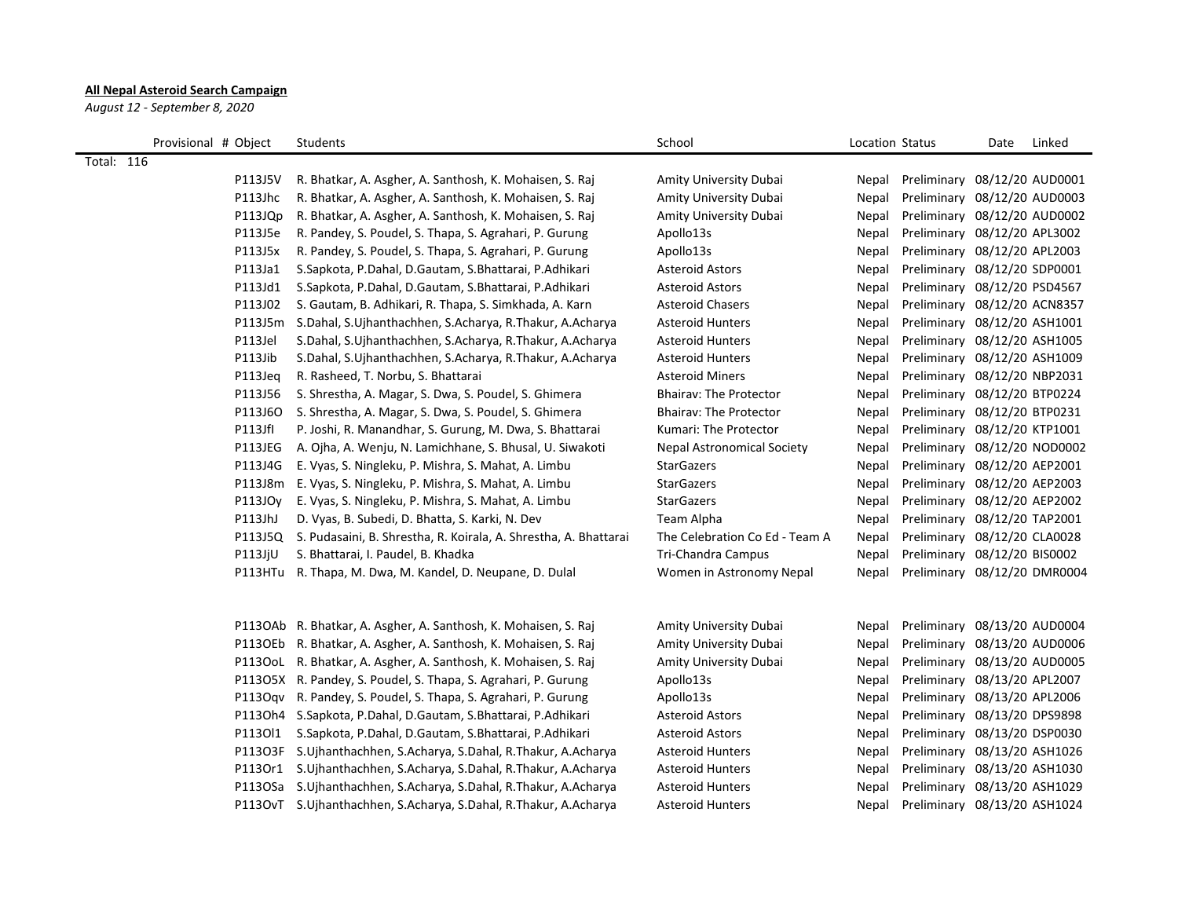## **All Nepal Asteroid Search Campaign**

*August 12 - September 8, 2020*

| Provisional # Object | Students                                                         | School                            | Location Status |                              | Date | Linked |
|----------------------|------------------------------------------------------------------|-----------------------------------|-----------------|------------------------------|------|--------|
| Total: 116           |                                                                  |                                   |                 |                              |      |        |
| P113J5V              | R. Bhatkar, A. Asgher, A. Santhosh, K. Mohaisen, S. Raj          | Amity University Dubai            | Nepal           | Preliminary 08/12/20 AUD0001 |      |        |
| P113Jhc              | R. Bhatkar, A. Asgher, A. Santhosh, K. Mohaisen, S. Raj          | Amity University Dubai            | Nepal           | Preliminary 08/12/20 AUD0003 |      |        |
| P113JQp              | R. Bhatkar, A. Asgher, A. Santhosh, K. Mohaisen, S. Raj          | Amity University Dubai            | Nepal           | Preliminary 08/12/20 AUD0002 |      |        |
| P113J5e              | R. Pandey, S. Poudel, S. Thapa, S. Agrahari, P. Gurung           | Apollo13s                         | Nepal           | Preliminary 08/12/20 APL3002 |      |        |
| P113J5x              | R. Pandey, S. Poudel, S. Thapa, S. Agrahari, P. Gurung           | Apollo13s                         | Nepal           | Preliminary 08/12/20 APL2003 |      |        |
| P113Ja1              | S.Sapkota, P.Dahal, D.Gautam, S.Bhattarai, P.Adhikari            | <b>Asteroid Astors</b>            | Nepal           | Preliminary 08/12/20 SDP0001 |      |        |
| P113Jd1              | S.Sapkota, P.Dahal, D.Gautam, S.Bhattarai, P.Adhikari            | <b>Asteroid Astors</b>            | Nepal           | Preliminary 08/12/20 PSD4567 |      |        |
| P113J02              | S. Gautam, B. Adhikari, R. Thapa, S. Simkhada, A. Karn           | <b>Asteroid Chasers</b>           | Nepal           | Preliminary 08/12/20 ACN8357 |      |        |
| P113J5m              | S.Dahal, S.Ujhanthachhen, S.Acharya, R.Thakur, A.Acharya         | <b>Asteroid Hunters</b>           | Nepal           | Preliminary 08/12/20 ASH1001 |      |        |
| P113Jel              | S.Dahal, S.Ujhanthachhen, S.Acharya, R.Thakur, A.Acharya         | <b>Asteroid Hunters</b>           | Nepal           | Preliminary 08/12/20 ASH1005 |      |        |
| P113Jib              | S.Dahal, S.Ujhanthachhen, S.Acharya, R.Thakur, A.Acharya         | <b>Asteroid Hunters</b>           | Nepal           | Preliminary 08/12/20 ASH1009 |      |        |
| P113Jeq              | R. Rasheed, T. Norbu, S. Bhattarai                               | <b>Asteroid Miners</b>            | Nepal           | Preliminary 08/12/20 NBP2031 |      |        |
| P113J56              | S. Shrestha, A. Magar, S. Dwa, S. Poudel, S. Ghimera             | <b>Bhairav: The Protector</b>     | Nepal           | Preliminary 08/12/20 BTP0224 |      |        |
| P113J6O              | S. Shrestha, A. Magar, S. Dwa, S. Poudel, S. Ghimera             | <b>Bhairav: The Protector</b>     | Nepal           | Preliminary 08/12/20 BTP0231 |      |        |
| P113JfI              | P. Joshi, R. Manandhar, S. Gurung, M. Dwa, S. Bhattarai          | Kumari: The Protector             | Nepal           | Preliminary 08/12/20 KTP1001 |      |        |
| P113JEG              | A. Ojha, A. Wenju, N. Lamichhane, S. Bhusal, U. Siwakoti         | <b>Nepal Astronomical Society</b> | Nepal           | Preliminary 08/12/20 NOD0002 |      |        |
| P113J4G              | E. Vyas, S. Ningleku, P. Mishra, S. Mahat, A. Limbu              | <b>StarGazers</b>                 | Nepal           | Preliminary 08/12/20 AEP2001 |      |        |
| P113J8m              | E. Vyas, S. Ningleku, P. Mishra, S. Mahat, A. Limbu              | <b>StarGazers</b>                 | Nepal           | Preliminary 08/12/20 AEP2003 |      |        |
| P113JO <sub>V</sub>  | E. Vyas, S. Ningleku, P. Mishra, S. Mahat, A. Limbu              | <b>StarGazers</b>                 | Nepal           | Preliminary 08/12/20 AEP2002 |      |        |
| P113JhJ              | D. Vyas, B. Subedi, D. Bhatta, S. Karki, N. Dev                  | Team Alpha                        | Nepal           | Preliminary 08/12/20 TAP2001 |      |        |
| P113J5Q              | S. Pudasaini, B. Shrestha, R. Koirala, A. Shrestha, A. Bhattarai | The Celebration Co Ed - Team A    | Nepal           | Preliminary 08/12/20 CLA0028 |      |        |
| P113JjU              | S. Bhattarai, I. Paudel, B. Khadka                               | Tri-Chandra Campus                | Nepal           | Preliminary 08/12/20 BIS0002 |      |        |
|                      | P113HTu R. Thapa, M. Dwa, M. Kandel, D. Neupane, D. Dulal        | Women in Astronomy Nepal          | Nepal           | Preliminary 08/12/20 DMR0004 |      |        |
|                      |                                                                  |                                   |                 |                              |      |        |
|                      |                                                                  |                                   |                 |                              |      |        |
|                      | P113OAb R. Bhatkar, A. Asgher, A. Santhosh, K. Mohaisen, S. Raj  | Amity University Dubai            | Nepal           | Preliminary 08/13/20 AUD0004 |      |        |
|                      | P113OEb R. Bhatkar, A. Asgher, A. Santhosh, K. Mohaisen, S. Raj  | Amity University Dubai            | Nepal           | Preliminary 08/13/20 AUD0006 |      |        |
|                      | P113OoL R. Bhatkar, A. Asgher, A. Santhosh, K. Mohaisen, S. Raj  | Amity University Dubai            | Nepal           | Preliminary 08/13/20 AUD0005 |      |        |
|                      | P113O5X R. Pandey, S. Poudel, S. Thapa, S. Agrahari, P. Gurung   | Apollo13s                         | Nepal           | Preliminary 08/13/20 APL2007 |      |        |
|                      | P113Oqv R. Pandey, S. Poudel, S. Thapa, S. Agrahari, P. Gurung   | Apollo13s                         | Nepal           | Preliminary 08/13/20 APL2006 |      |        |
|                      | P113Oh4 S.Sapkota, P.Dahal, D.Gautam, S.Bhattarai, P.Adhikari    | <b>Asteroid Astors</b>            | Nepal           | Preliminary 08/13/20 DPS9898 |      |        |
| P113011              | S.Sapkota, P.Dahal, D.Gautam, S.Bhattarai, P.Adhikari            | <b>Asteroid Astors</b>            | Nepal           | Preliminary 08/13/20 DSP0030 |      |        |
| P113O3F              | S.Ujhanthachhen, S.Acharya, S.Dahal, R.Thakur, A.Acharya         | <b>Asteroid Hunters</b>           | Nepal           | Preliminary 08/13/20 ASH1026 |      |        |
|                      | P113Or1 S.Ujhanthachhen, S.Acharya, S.Dahal, R.Thakur, A.Acharya | <b>Asteroid Hunters</b>           | Nepal           | Preliminary 08/13/20 ASH1030 |      |        |
|                      | P113OSa S.Ujhanthachhen, S.Acharya, S.Dahal, R.Thakur, A.Acharya | <b>Asteroid Hunters</b>           | Nepal           | Preliminary 08/13/20 ASH1029 |      |        |
|                      | P113OvT S.Ujhanthachhen, S.Acharya, S.Dahal, R.Thakur, A.Acharya | <b>Asteroid Hunters</b>           | Nepal           | Preliminary 08/13/20 ASH1024 |      |        |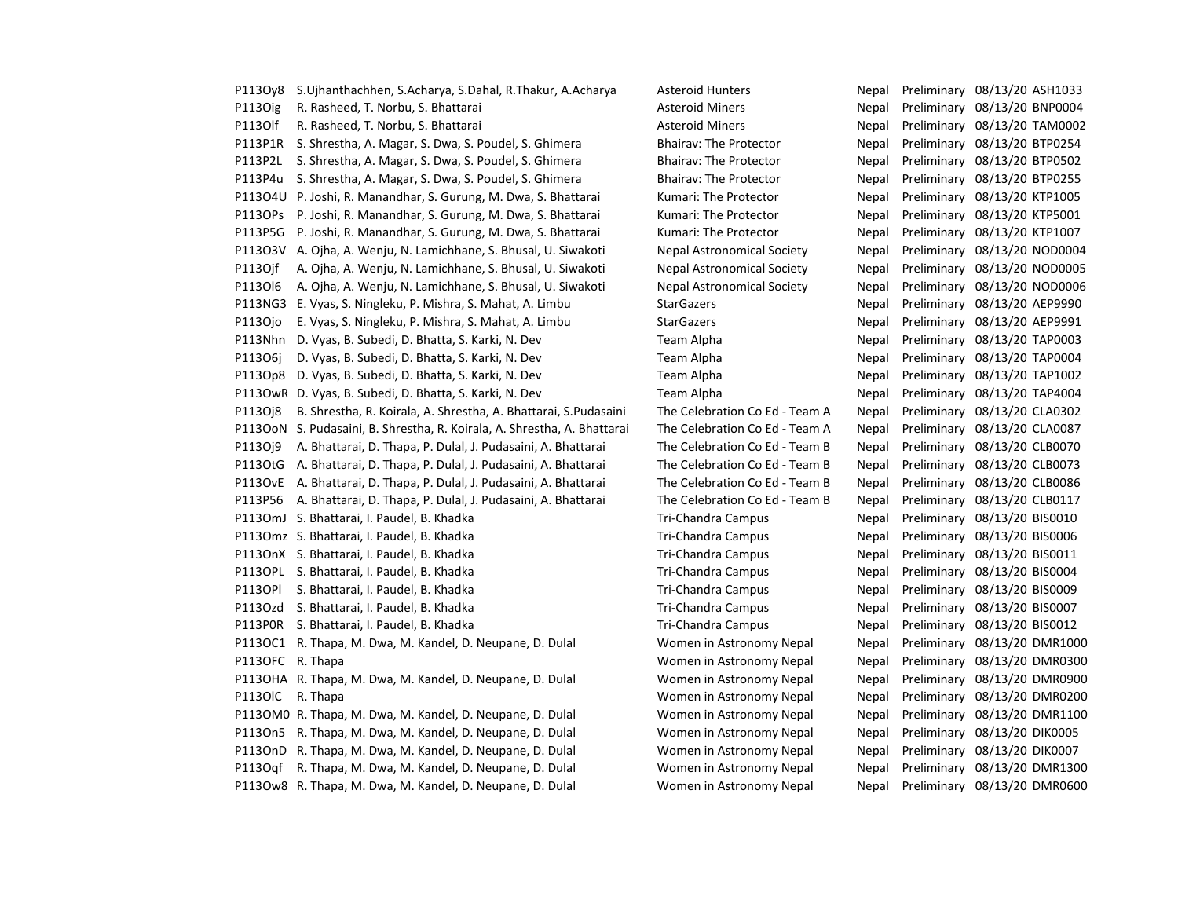| P113Oy8              | S.Ujhanthachhen, S.Acharya, S.Dahal, R.Thakur, A.Acharya                 | <b>Asteroid Hunters</b>           | Nepal | Preliminary 08/13/20 ASH1033 |  |
|----------------------|--------------------------------------------------------------------------|-----------------------------------|-------|------------------------------|--|
| P113Oig              | R. Rasheed, T. Norbu, S. Bhattarai                                       | <b>Asteroid Miners</b>            | Nepal | Preliminary 08/13/20 BNP0004 |  |
| <b>P1130lf</b>       | R. Rasheed, T. Norbu, S. Bhattarai                                       | <b>Asteroid Miners</b>            | Nepal | Preliminary 08/13/20 TAM0002 |  |
| P113P1R              | S. Shrestha, A. Magar, S. Dwa, S. Poudel, S. Ghimera                     | <b>Bhairav: The Protector</b>     | Nepal | Preliminary 08/13/20 BTP0254 |  |
| P113P2L              | S. Shrestha, A. Magar, S. Dwa, S. Poudel, S. Ghimera                     | <b>Bhairav: The Protector</b>     | Nepal | Preliminary 08/13/20 BTP0502 |  |
| P113P4u              | S. Shrestha, A. Magar, S. Dwa, S. Poudel, S. Ghimera                     | <b>Bhairav: The Protector</b>     | Nepal | Preliminary 08/13/20 BTP0255 |  |
|                      | P113O4U P. Joshi, R. Manandhar, S. Gurung, M. Dwa, S. Bhattarai          | Kumari: The Protector             | Nepal | Preliminary 08/13/20 KTP1005 |  |
| P1130Ps              | P. Joshi, R. Manandhar, S. Gurung, M. Dwa, S. Bhattarai                  | Kumari: The Protector             | Nepal | Preliminary 08/13/20 KTP5001 |  |
|                      | P113P5G P. Joshi, R. Manandhar, S. Gurung, M. Dwa, S. Bhattarai          | Kumari: The Protector             | Nepal | Preliminary 08/13/20 KTP1007 |  |
|                      | P113O3V A. Ojha, A. Wenju, N. Lamichhane, S. Bhusal, U. Siwakoti         | <b>Nepal Astronomical Society</b> | Nepal | Preliminary 08/13/20 NOD0004 |  |
| P1130jf              | A. Ojha, A. Wenju, N. Lamichhane, S. Bhusal, U. Siwakoti                 | <b>Nepal Astronomical Society</b> | Nepal | Preliminary 08/13/20 NOD0005 |  |
| P113016              | A. Ojha, A. Wenju, N. Lamichhane, S. Bhusal, U. Siwakoti                 | Nepal Astronomical Society        | Nepal | Preliminary 08/13/20 NOD0006 |  |
|                      | P113NG3 E. Vyas, S. Ningleku, P. Mishra, S. Mahat, A. Limbu              | <b>StarGazers</b>                 | Nepal | Preliminary 08/13/20 AEP9990 |  |
| P1130jo              | E. Vyas, S. Ningleku, P. Mishra, S. Mahat, A. Limbu                      | <b>StarGazers</b>                 | Nepal | Preliminary 08/13/20 AEP9991 |  |
|                      | P113Nhn D. Vyas, B. Subedi, D. Bhatta, S. Karki, N. Dev                  | Team Alpha                        | Nepal | Preliminary 08/13/20 TAP0003 |  |
| P11306j              | D. Vyas, B. Subedi, D. Bhatta, S. Karki, N. Dev                          | Team Alpha                        | Nepal | Preliminary 08/13/20 TAP0004 |  |
|                      | P113Op8 D. Vyas, B. Subedi, D. Bhatta, S. Karki, N. Dev                  | Team Alpha                        | Nepal | Preliminary 08/13/20 TAP1002 |  |
|                      | P113OwR D. Vyas, B. Subedi, D. Bhatta, S. Karki, N. Dev                  | Team Alpha                        | Nepal | Preliminary 08/13/20 TAP4004 |  |
| P113018              | B. Shrestha, R. Koirala, A. Shrestha, A. Bhattarai, S. Pudasaini         | The Celebration Co Ed - Team A    | Nepal | Preliminary 08/13/20 CLA0302 |  |
|                      | P113OoN S. Pudasaini, B. Shrestha, R. Koirala, A. Shrestha, A. Bhattarai | The Celebration Co Ed - Team A    | Nepal | Preliminary 08/13/20 CLA0087 |  |
| P1130 <sub>i</sub> 9 | A. Bhattarai, D. Thapa, P. Dulal, J. Pudasaini, A. Bhattarai             | The Celebration Co Ed - Team B    | Nepal | Preliminary 08/13/20 CLB0070 |  |
|                      | P113OtG A. Bhattarai, D. Thapa, P. Dulal, J. Pudasaini, A. Bhattarai     | The Celebration Co Ed - Team B    | Nepal | Preliminary 08/13/20 CLB0073 |  |
|                      | P113OvE A. Bhattarai, D. Thapa, P. Dulal, J. Pudasaini, A. Bhattarai     | The Celebration Co Ed - Team B    | Nepal | Preliminary 08/13/20 CLB0086 |  |
| P113P56              | A. Bhattarai, D. Thapa, P. Dulal, J. Pudasaini, A. Bhattarai             | The Celebration Co Ed - Team B    | Nepal | Preliminary 08/13/20 CLB0117 |  |
|                      | P1130mJ S. Bhattarai, I. Paudel, B. Khadka                               | Tri-Chandra Campus                | Nepal | Preliminary 08/13/20 BIS0010 |  |
|                      | P1130mz S. Bhattarai, I. Paudel, B. Khadka                               | Tri-Chandra Campus                | Nepal | Preliminary 08/13/20 BIS0006 |  |
|                      | P113OnX S. Bhattarai, I. Paudel, B. Khadka                               | Tri-Chandra Campus                | Nepal | Preliminary 08/13/20 BIS0011 |  |
|                      | P113OPL S. Bhattarai, I. Paudel, B. Khadka                               | Tri-Chandra Campus                | Nepal | Preliminary 08/13/20 BIS0004 |  |
| <b>P113OPI</b>       | S. Bhattarai, I. Paudel, B. Khadka                                       | <b>Tri-Chandra Campus</b>         | Nepal | Preliminary 08/13/20 BIS0009 |  |
|                      | P113Ozd S. Bhattarai, I. Paudel, B. Khadka                               | Tri-Chandra Campus                | Nepal | Preliminary 08/13/20 BIS0007 |  |
|                      | P113POR S. Bhattarai, I. Paudel, B. Khadka                               | Tri-Chandra Campus                | Nepal | Preliminary 08/13/20 BIS0012 |  |
|                      | P113OC1 R. Thapa, M. Dwa, M. Kandel, D. Neupane, D. Dulal                | Women in Astronomy Nepal          | Nepal | Preliminary 08/13/20 DMR1000 |  |
| P113OFC R. Thapa     |                                                                          | Women in Astronomy Nepal          | Nepal | Preliminary 08/13/20 DMR0300 |  |
|                      | P113OHA R. Thapa, M. Dwa, M. Kandel, D. Neupane, D. Dulal                | Women in Astronomy Nepal          | Nepal | Preliminary 08/13/20 DMR0900 |  |
| P113OlC R. Thapa     |                                                                          | Women in Astronomy Nepal          | Nepal | Preliminary 08/13/20 DMR0200 |  |
|                      | P1130M0 R. Thapa, M. Dwa, M. Kandel, D. Neupane, D. Dulal                | Women in Astronomy Nepal          | Nepal | Preliminary 08/13/20 DMR1100 |  |
|                      | P113On5 R. Thapa, M. Dwa, M. Kandel, D. Neupane, D. Dulal                | Women in Astronomy Nepal          | Nepal | Preliminary 08/13/20 DIK0005 |  |
|                      | P113OnD R. Thapa, M. Dwa, M. Kandel, D. Neupane, D. Dulal                | Women in Astronomy Nepal          | Nepal | Preliminary 08/13/20 DIK0007 |  |
|                      | P113Oqf R. Thapa, M. Dwa, M. Kandel, D. Neupane, D. Dulal                | Women in Astronomy Nepal          | Nepal | Preliminary 08/13/20 DMR1300 |  |
|                      | P113Ow8 R. Thapa, M. Dwa, M. Kandel, D. Neupane, D. Dulal                | Women in Astronomy Nepal          | Nepal | Preliminary 08/13/20 DMR0600 |  |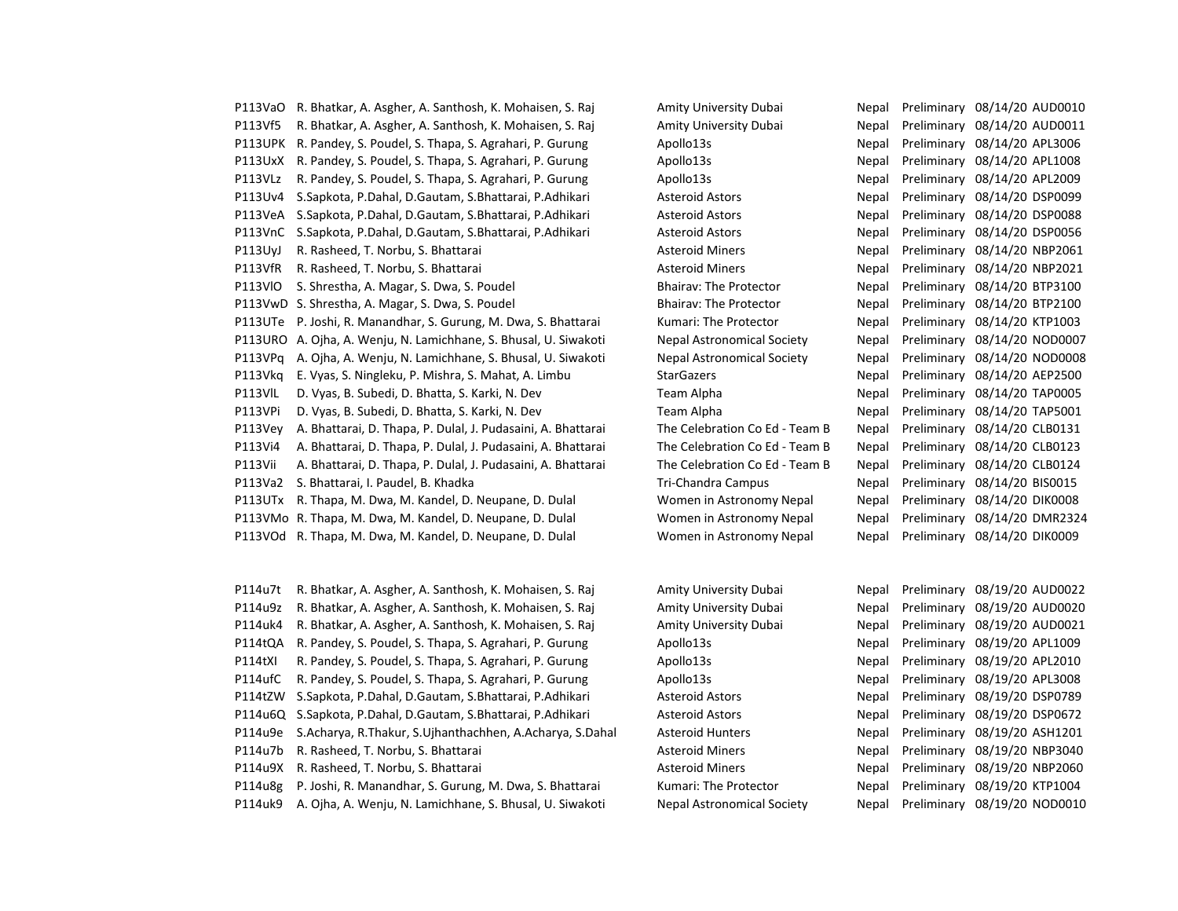| PII3VaO                                | R. Bhatkar, A. Asgher, A. Santhosh, K. Mohaisen, S. Raj      |
|----------------------------------------|--------------------------------------------------------------|
| P113Vf5                                | R. Bhatkar, A. Asgher, A. Santhosh, K. Mohaisen, S. Raj      |
| P113UPK                                | R. Pandey, S. Poudel, S. Thapa, S. Agrahari, P. Gurung       |
| P113UxX                                | R. Pandey, S. Poudel, S. Thapa, S. Agrahari, P. Gurung       |
| P113VLz                                | R. Pandey, S. Poudel, S. Thapa, S. Agrahari, P. Gurung       |
| P113Uv4                                | S.Sapkota, P.Dahal, D.Gautam, S.Bhattarai, P.Adhikari        |
| P113VeA                                | S.Sapkota, P.Dahal, D.Gautam, S.Bhattarai, P.Adhikari        |
| P113VnC                                | S.Sapkota, P.Dahal, D.Gautam, S.Bhattarai, P.Adhikari        |
| P113UyJ                                | R. Rasheed, T. Norbu, S. Bhattarai                           |
| P113VfR                                | R. Rasheed, T. Norbu, S. Bhattarai                           |
| <b>P113VIO</b>                         | S. Shrestha, A. Magar, S. Dwa, S. Poudel                     |
| P113VwD                                | S. Shrestha, A. Magar, S. Dwa, S. Poudel                     |
| P113UTe                                | P. Joshi, R. Manandhar, S. Gurung, M. Dwa, S. Bhattarai      |
| P113URO                                | A. Ojha, A. Wenju, N. Lamichhane, S. Bhusal, U. Siwakoti     |
| P113VPa                                | A. Ojha, A. Wenju, N. Lamichhane, S. Bhusal, U. Siwakoti     |
| P113Vkg                                | E. Vyas, S. Ningleku, P. Mishra, S. Mahat, A. Limbu          |
| P113VIL                                | D. Vyas, B. Subedi, D. Bhatta, S. Karki, N. Dev              |
| P113VPi                                | D. Vyas, B. Subedi, D. Bhatta, S. Karki, N. Dev              |
| P113Vey                                | A. Bhattarai, D. Thapa, P. Dulal, J. Pudasaini, A. Bhattarai |
| P113Vi4                                | A. Bhattarai, D. Thapa, P. Dulal, J. Pudasaini, A. Bhattarai |
| P113Vii                                | A. Bhattarai, D. Thapa, P. Dulal, J. Pudasaini, A. Bhattarai |
| P113Va2                                | S. Bhattarai, I. Paudel, B. Khadka                           |
| P113UTx                                | R. Thapa, M. Dwa, M. Kandel, D. Neupane, D. Dulal            |
| P113VMo                                | R. Thapa, M. Dwa, M. Kandel, D. Neupane, D. Dulal            |
| $\mathbf{A}$ $\mathbf{A}$ $\mathbf{A}$ | <b>D. There M. Drive M. Kendal D. Merrices D. Dulat</b>      |

| P114u7t        | R. Bhatkar, A. Asgher, A. Santhosh, K. Mohaisen, S. Raj  |
|----------------|----------------------------------------------------------|
| P114u9z        | R. Bhatkar, A. Asgher, A. Santhosh, K. Mohaisen, S. Raj  |
| P114uk4        | R. Bhatkar, A. Asgher, A. Santhosh, K. Mohaisen, S. Raj  |
| P114tQA        | R. Pandey, S. Poudel, S. Thapa, S. Agrahari, P. Gurung   |
| <b>P114tXI</b> | R. Pandey, S. Poudel, S. Thapa, S. Agrahari, P. Gurung   |
| P114ufC        | R. Pandey, S. Poudel, S. Thapa, S. Agrahari, P. Gurung   |
| P114tZW        | S.Sapkota, P.Dahal, D.Gautam, S.Bhattarai, P.Adhikari    |
| P114u6Q        | S.Sapkota, P.Dahal, D.Gautam, S.Bhattarai, P.Adhikari    |
| P114u9e        | S.Acharya, R.Thakur, S.Ujhanthachhen, A.Acharya, S.Daha  |
| P114u7b        | R. Rasheed, T. Norbu, S. Bhattarai                       |
| P114u9X        | R. Rasheed, T. Norbu, S. Bhattarai                       |
| P114u8g        | P. Joshi, R. Manandhar, S. Gurung, M. Dwa, S. Bhattarai  |
| P114uk9        | A. Ojha, A. Wenju, N. Lamichhane, S. Bhusal, U. Siwakoti |

Amity University Dubai Nepal Preliminary 08/14/20 AUD0010

Amity University Dubai Nepal Preliminary 08/14/20 AUD0011 Apollo13s Nepal Preliminary 08/14/20 APL3006 Apollo13s Nepal Preliminary 08/14/20 APL1008 Apollo13s Nepal Preliminary 08/14/20 APL2009 Asteroid Astors Nepal Preliminary 08/14/20 DSP0099 Asteroid Astors **Nepal Preliminary 08/14/20 DSP0088** Asteroid Astors **Nepal Preliminary 08/14/20 DSP0056** Asteroid Miners Nepal Preliminary 08/14/20 NBP2061 Asteroid Miners Nepal Preliminary 08/14/20 NBP2021 Bhairav: The Protector Nepal Preliminary 08/14/20 BTP3100 Bhairav: The Protector Nepal Preliminary 08/14/20 BTP2100 Kumari: The Protector **Nepal Preliminary 08/14/20 KTP1003** Nepal Astronomical Society Mepal Preliminary 08/14/20 NOD0007 Nepal Astronomical Society Mepal Preliminary 08/14/20 NOD0008 StarGazers **E. Ninglet E. S. Ninglet StarGazers** Nepal Preliminary 08/14/20 AEP2500 Team Alpha **N. B. Subediers C. Subediers** Nepal Preliminary 08/14/20 TAP0005 Team Alpha **Partias, B. Subedie, D. S. A. S. A. Bhatta, S. A. Bhatta, A. Bhatta, S. A. Bhatta, S. A. Bhatta, S. A. Dev Team Alpha Nepal Preliminary 08/14/20 TAP5001** The Celebration Co Ed - Team B Nepal Preliminary 08/14/20 CLB0131 The Celebration Co Ed - Team B Nepal Preliminary 08/14/20 CLB0123 The Celebration Co Ed - Team B Nepal Preliminary 08/14/20 CLB0124 Tri-Chandra Campus Nepal Preliminary 08/14/20 BIS0015 Women in Astronomy Nepal Nepal Preliminary 08/14/20 DIK0008 Women in Astronomy Nepal Nepal Preliminary 08/14/20 DMR2324 P113VOd R. Thapa, M. Dwa, M. Kandel, D. Neupane, D. Dulal Women in Astronomy Nepal Nepal Preliminary 08/14/20 DIK0009

Amity University Dubai Nepal Preliminary 08/19/20 AUD0022 Amity University Dubai Nepal Preliminary 08/19/20 AUD0020 Amity University Dubai Nepal Preliminary 08/19/20 AUD0021 Apollo13s Nepal Preliminary 08/19/20 APL1009 Apollo13s Nepal Preliminary 08/19/20 APL2010 Apollo13s Nepal Preliminary 08/19/20 APL3008 Asteroid Astors Nepal Preliminary 08/19/20 DSP0789 Asteroid Astors **Nepal Preliminary 08/19/20 DSP0672** Asteroid Hunters Nepal Preliminary 08/19/20 ASH1201 Asteroid Miners Nepal Preliminary 08/19/20 NBP3040 Asteroid Miners Nepal Preliminary 08/19/20 NBP2060 Kumari: The Protector **Nepal Preliminary 08/19/20 KTP1004** Nepal Astronomical Society Mepal Preliminary 08/19/20 NOD0010